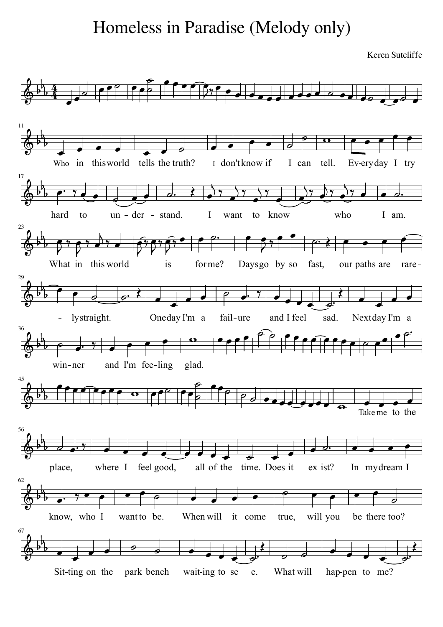## Homeless in Paradise (Melody only)

Keren Sutcliffe